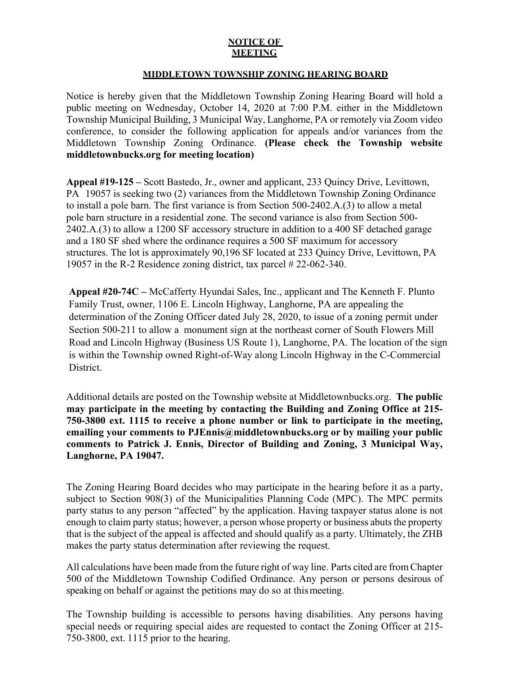## **NOTICE OF MEETING**

## **MIDDLETOWN TOWNSHIP ZONING HEARING BOARD**

Notice is hereby given that the Middletown Township Zoning Hearing Board will hold a public meeting on Wednesday, October 14, 2020 at 7:00 P.M. either in the Middletown Township Municipal Building, 3 Municipal Way, Langhorne, PA or remotely via Zoom video conference, to consider the following application for appeals and/or variances from the Middletown Township Zoning Ordinance. **(Please check the Township website middletownbucks.org for meeting location)** 

**Appeal #19-125 –** Scott Bastedo, Jr., owner and applicant, 233 Quincy Drive, Levittown, PA 19057 is seeking two (2) variances from the Middletown Township Zoning Ordinance to install a pole barn. The first variance is from Section 500-2402.A.(3) to allow a metal pole barn structure in a residential zone. The second variance is also from Section 500- 2402.A.(3) to allow a 1200 SF accessory structure in addition to a 400 SF detached garage and a 180 SF shed where the ordinance requires a 500 SF maximum for accessory structures. The lot is approximately 90,196 SF located at 233 Quincy Drive, Levittown, PA 19057 in the R-2 Residence zoning district, tax parcel # 22-062-340.

**Appeal #20-74C –** McCafferty Hyundai Sales, Inc., applicant and The Kenneth F. Plunto Family Trust, owner, 1106 E. Lincoln Highway, Langhorne, PA are appealing the determination of the Zoning Officer dated July 28, 2020, to issue of a zoning permit under Section 500-211 to allow a monument sign at the northeast corner of South Flowers Mill Road and Lincoln Highway (Business US Route 1), Langhorne, PA. The location of the sign is within the Township owned Right-of-Way along Lincoln Highway in the C-Commercial District.

Additional details are posted on the Township website at Middletownbucks.org. **The public may participate in the meeting by contacting the Building and Zoning Office at 215- 750-3800 ext. 1115 to receive a phone number or link to participate in the meeting, emailing your comments to PJEnnis@middletownbucks.org or by mailing your public comments to Patrick J. Ennis, Director of Building and Zoning, 3 Municipal Way, Langhorne, PA 19047.** 

The Zoning Hearing Board decides who may participate in the hearing before it as a party, subject to Section 908(3) of the Municipalities Planning Code (MPC). The MPC permits party status to any person "affected" by the application. Having taxpayer status alone is not enough to claim party status; however, a person whose property or business abuts the property that is the subject of the appeal is affected and should qualify as a party. Ultimately, the ZHB makes the party status determination after reviewing the request.

All calculations have been made from the future right of way line. Parts cited are from Chapter 500 of the Middletown Township Codified Ordinance. Any person or persons desirous of speaking on behalf or against the petitions may do so at this meeting.

The Township building is accessible to persons having disabilities. Any persons having special needs or requiring special aides are requested to contact the Zoning Officer at 215- 750-3800, ext. 1115 prior to the hearing.